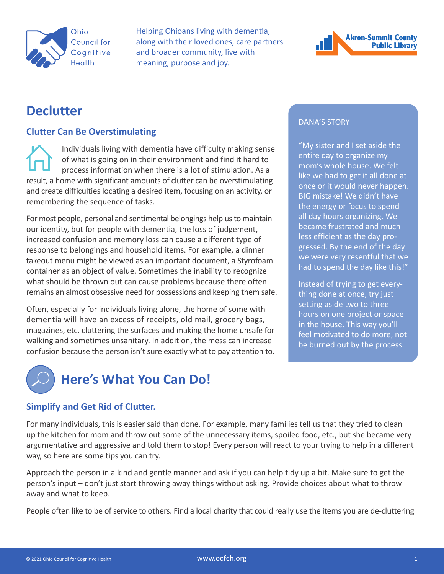

Helping Ohioans living with dementia, along with their loved ones, care partners and broader community, live with meaning, purpose and joy.



# **Declutter**

# **Clutter Can Be Overstimulating**

Individuals living with dementia have difficulty making sense of what is going on in their environment and find it hard to process information when there is a lot of stimulation. As a result, a home with significant amounts of clutter can be overstimulating and create difficulties locating a desired item, focusing on an activity, or remembering the sequence of tasks.

For most people, personal and sentimental belongings help us to maintain our identity, but for people with dementia, the loss of judgement, increased confusion and memory loss can cause a different type of response to belongings and household items. For example, a dinner takeout menu might be viewed as an important document, a Styrofoam container as an object of value. Sometimes the inability to recognize what should be thrown out can cause problems because there often remains an almost obsessive need for possessions and keeping them safe.

Often, especially for individuals living alone, the home of some with dementia will have an excess of receipts, old mail, grocery bags, magazines, etc. cluttering the surfaces and making the home unsafe for walking and sometimes unsanitary. In addition, the mess can increase confusion because the person isn't sure exactly what to pay attention to.

#### DANA'S STORY

"My sister and I set aside the entire day to organize my mom's whole house. We felt like we had to get it all done at once or it would never happen. BIG mistake! We didn't have the energy or focus to spend all day hours organizing. We became frustrated and much less efficient as the day progressed. By the end of the day we were very resentful that we had to spend the day like this!"

Instead of trying to get everything done at once, try just setting aside two to three hours on one project or space in the house. This way you'll feel motivated to do more, not be burned out by the process.



# **Here's What You Can Do!**

# **Simplify and Get Rid of Clutter.**

For many individuals, this is easier said than done. For example, many families tell us that they tried to clean up the kitchen for mom and throw out some of the unnecessary items, spoiled food, etc., but she became very argumentative and aggressive and told them to stop! Every person will react to your trying to help in a different way, so here are some tips you can try.

Approach the person in a kind and gentle manner and ask if you can help tidy up a bit. Make sure to get the person's input – don't just start throwing away things without asking. Provide choices about what to throw away and what to keep.

People often like to be of service to others. Find a local charity that could really use the items you are de-cluttering